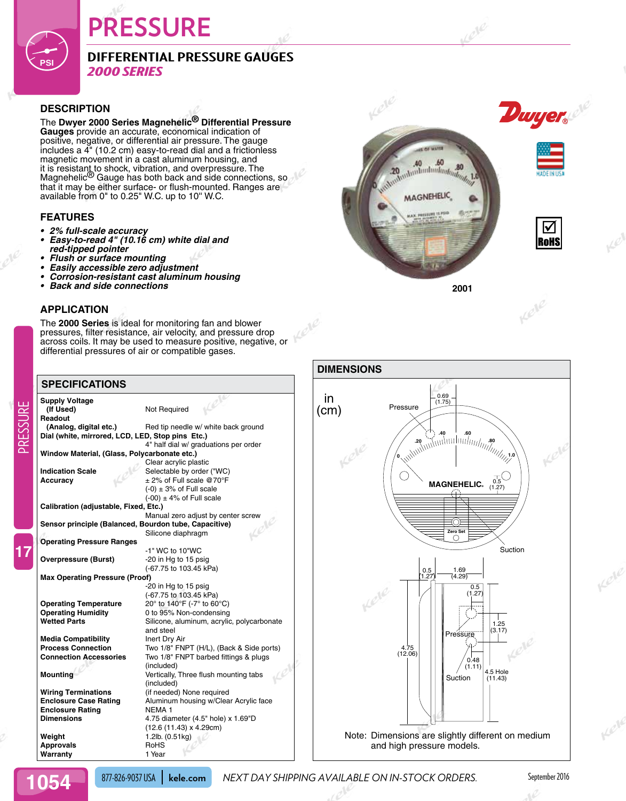# **PRESSURE**

## **Differential Pressure Gauges** *2000 Series*

#### **Description**

**PSI**

The **Dwyer 2000 Series Magnehelic® Differential Pressure Gauges** provide an accurate, economical indication of positive, negative, or differential air pressure. The gauge includes a 4" (10.2 cm) easy-to-read dial and a frictionless magnetic movement in a cast aluminum housing, and it is resistant to shock, vibration, and overpressure. The<br>Magnehelic<sup>®</sup> Gauge has both back and side connections, so that it may be either surface- or flush-mounted. Ranges are available from 0" to 0.25" W.C. up to 10'' W.C.

#### **Features**

- **• 2% full-scale accuracy**
- **• Easy-to-read 4" (10.16 cm) white dial and red-tipped pointer**
- **• Flush or surface mounting**
- **• Easily accessible zero adjustment**
- **• Corrosion-resistant cast aluminum housing**
- **Back and side connections**

### **Application**

The **2000 Series** is ideal for monitoring fan and blower pressures, filter resistance, air velocity, and pressure drop across coils. It may be used to measure positive, negative, or differential pressures of air or compatible gases.

#### **Supply Voltage Not Required** Readout<br>(Analog, digital etc.) Red tip needle w/ white back ground **Dial (white, mirrored, LCD, LED, Stop pins Etc.)** 4" half dial w/ graduations per order **Window Material, (Glass, Polycarbonate etc.)** Clear acrylic plastic **Indication Scale** Selectable by order ("WC) **Accuracy** ± 2% of Full scale @70°F  $(-0) \pm 3$ % of Full scale  $(-00) \pm 4\%$  of Full scale **Calibration (adjustable, Fixed, Etc.)** Manual zero adjust by center screw **Sensor principle (Balanced, Bourdon tube, Capacitive)** Silicone diaphragm **Operating Pressure Ranges**  -1" WC to 10"WC **Overpressure (Burst)** -20 in Hg to 15 psig (-67.75 to 103.45 kPa) **Max Operating Pressure (Proof)** -20 in Hg to 15 psig (-67.75 to 103.45 kPa) **Operating Temperature** 20° to 140°F (-7° to 60°C) **Operating Humidity** 0 to 95% Non-condensing Wetted Parts **Wetted Parts** Silicone, aluminum, acrylic, polycarbonate and steel **Media Compatibility Inert Dry Air Process Connection** Two 1/8" FNPT (H/L), (Back & Side ports) **Connection Accessories** Two 1/8" FNPT barbed fittings & plugs (included) **Mounting Mounting Mounting Limits Act Vertically, Three flush mounting tabs** (included) **Wiring Terminations** (if needed) None required **Enclosure Case Rating Aluminum housing w/Clear Acrylic face Enclosure Rating NEMA 1<br>Dimensions** 4.75 dia **Dimensions** 4.75 diameter (4.5" hole) x 1.69"D (12.6 (11.43) x 4.29cm) **Weight** 1.2lb. (0.51kg) **Approvals** RoHS **Warranty Specifications**







Kele



PRESSURE

**17**

877-826-9037 USA **kele.com** *NEXT DAY SHIPPING AVAILABLE ON IN-STOCK ORDERS.* September 2016